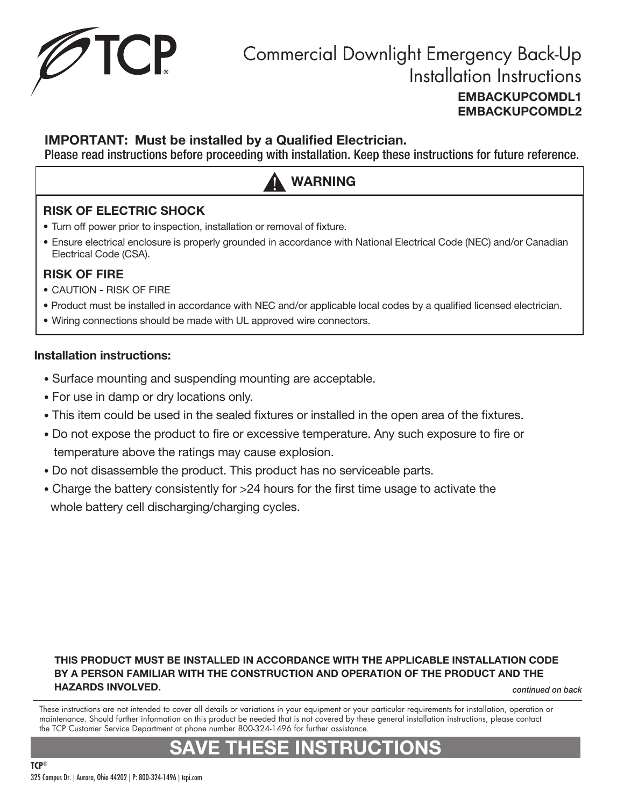

### IMPORTANT: Must be installed by a Qualified Electrician.

Please read instructions before proceeding with installation. Keep these instructions for future reference.

# WARNING

### RISK OF ELECTRIC SHOCK

- Turn off power prior to inspection, installation or removal of fixture.
- Ensure electrical enclosure is properly grounded in accordance with National Electrical Code (NEC) and/or Canadian Electrical Code (CSA).

#### RISK OF FIRE

- CAUTION RISK OF FIRE
- Product must be installed in accordance with NEC and/or applicable local codes by a qualified licensed electrician.
- Wiring connections should be made with UL approved wire connectors.

#### Installation instructions:

- Surface mounting and suspending mounting are acceptable.
- For use in damp or dry locations only.
- This item could be used in the sealed fixtures or installed in the open area of the fixtures.
- Do not expose the product to fire or excessive temperature. Any such exposure to fire or temperature above the ratings may cause explosion.
- Do not disassemble the product. This product has no serviceable parts.
- Charge the battery consistently for >24 hours for the first time usage to activate the whole battery cell discharging/charging cycles.

#### THIS PRODUCT MUST BE INSTALLED IN ACCORDANCE WITH THE APPLICABLE INSTALLATION CODE BY A PERSON FAMILIAR WITH THE CONSTRUCTION AND OPERATION OF THE PRODUCT AND THE HAZARDS INVOLVED.

*continued on back*

These instructions are not intended to cover all details or variations in your equipment or your particular requirements for installation, operation or maintenance. Should further information on this product be needed that is not covered by these general installation instructions, please contact the TCP Customer Service Department at phone number 800-324-1496 for further assistance.

# SAVE THESE INSTRUCTIONS